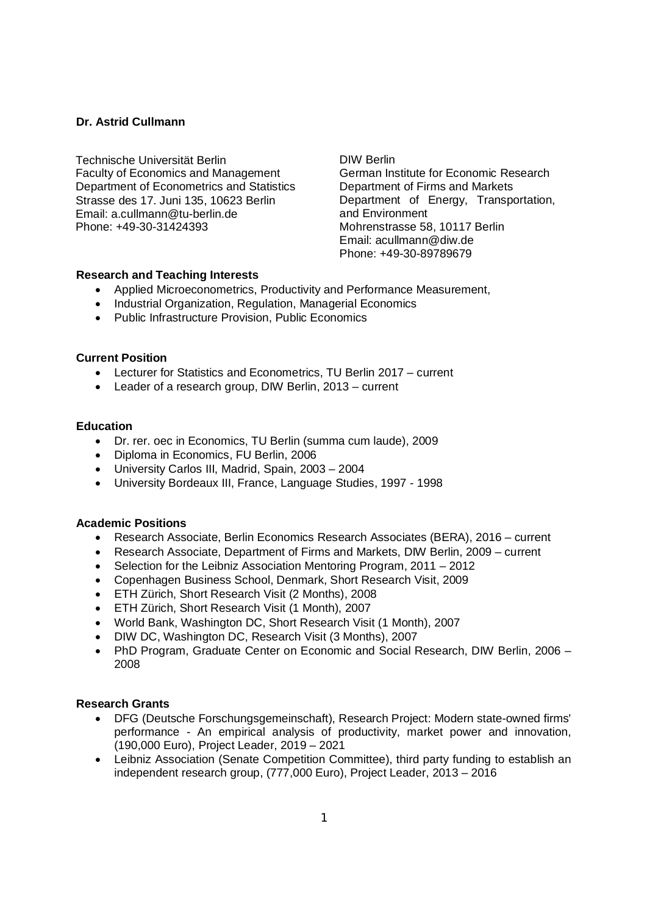## **Dr. Astrid Cullmann**

Technische Universität Berlin Faculty of Economics and Management Department of Econometrics and Statistics Strasse des 17. Juni 135, 10623 Berlin Email: a.cullmann@tu-berlin.de Phone: +49-30-31424393

DIW Berlin German Institute for Economic Research Department of Firms and Markets Department of Energy, Transportation, and Environment Mohrenstrasse 58, 10117 Berlin Email: acullmann@diw.de Phone: +49-30-89789679

### **Research and Teaching Interests**

- · Applied Microeconometrics, Productivity and Performance Measurement,
- · Industrial Organization, Regulation, Managerial Economics
- · Public Infrastructure Provision, Public Economics

### **Current Position**

- · Lecturer for Statistics and Econometrics, TU Berlin 2017 current
- · Leader of a research group, DIW Berlin, 2013 current

### **Education**

- · Dr. rer. oec in Economics, TU Berlin (summa cum laude), 2009
- · Diploma in Economics, FU Berlin, 2006
- · University Carlos III, Madrid, Spain, 2003 2004
- · University Bordeaux III, France, Language Studies, 1997 1998

#### **Academic Positions**

- · Research Associate, Berlin Economics Research Associates (BERA), 2016 current
- · Research Associate, Department of Firms and Markets, DIW Berlin, 2009 current
- · Selection for the Leibniz Association Mentoring Program, 2011 2012
- · Copenhagen Business School, Denmark, Short Research Visit, 2009
- · ETH Zürich, Short Research Visit (2 Months), 2008
- · ETH Zürich, Short Research Visit (1 Month), 2007
- · World Bank, Washington DC, Short Research Visit (1 Month), 2007
- · DIW DC, Washington DC, Research Visit (3 Months), 2007
- · PhD Program, Graduate Center on Economic and Social Research, DIW Berlin, 2006 2008

#### **Research Grants**

- · DFG (Deutsche Forschungsgemeinschaft), Research Project: Modern state-owned firms' performance - An empirical analysis of productivity, market power and innovation, (190,000 Euro), Project Leader, 2019 – 2021
- · Leibniz Association (Senate Competition Committee), third party funding to establish an independent research group, (777,000 Euro), Project Leader, 2013 – 2016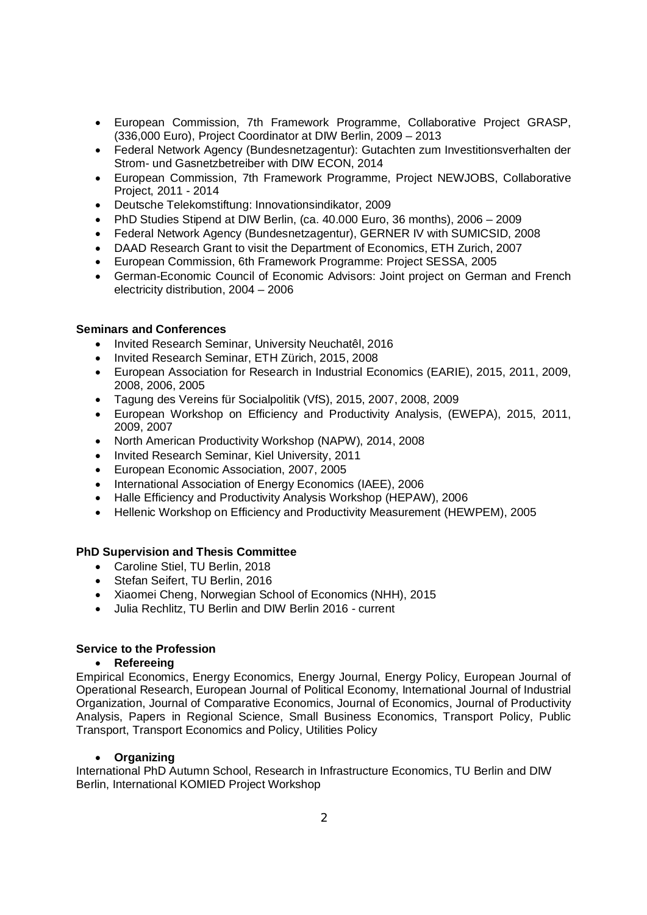- · European Commission, 7th Framework Programme, Collaborative Project GRASP, (336,000 Euro), Project Coordinator at DIW Berlin, 2009 – 2013
- · Federal Network Agency (Bundesnetzagentur): Gutachten zum Investitionsverhalten der Strom- und Gasnetzbetreiber with DIW ECON, 2014
- · European Commission, 7th Framework Programme, Project NEWJOBS, Collaborative Project, 2011 - 2014
- · Deutsche Telekomstiftung: Innovationsindikator, 2009
- · PhD Studies Stipend at DIW Berlin, (ca. 40.000 Euro, 36 months), 2006 2009
- · Federal Network Agency (Bundesnetzagentur), GERNER IV with SUMICSID, 2008
- · DAAD Research Grant to visit the Department of Economics, ETH Zurich, 2007
- · European Commission, 6th Framework Programme: Project SESSA, 2005
- · German-Economic Council of Economic Advisors: Joint project on German and French electricity distribution, 2004 – 2006

#### **Seminars and Conferences**

- · Invited Research Seminar, University Neuchatêl, 2016
- · Invited Research Seminar, ETH Zürich, 2015, 2008
- · European Association for Research in Industrial Economics (EARIE), 2015, 2011, 2009, 2008, 2006, 2005
- · Tagung des Vereins für Socialpolitik (VfS), 2015, 2007, 2008, 2009
- · European Workshop on Efficiency and Productivity Analysis, (EWEPA), 2015, 2011, 2009, 2007
- · North American Productivity Workshop (NAPW), 2014, 2008
- · Invited Research Seminar, Kiel University, 2011
- · European Economic Association, 2007, 2005
- · International Association of Energy Economics (IAEE), 2006
- · Halle Efficiency and Productivity Analysis Workshop (HEPAW), 2006
- · Hellenic Workshop on Efficiency and Productivity Measurement (HEWPEM), 2005

#### **PhD Supervision and Thesis Committee**

- · Caroline Stiel, TU Berlin, 2018
- · Stefan Seifert, TU Berlin, 2016
- · Xiaomei Cheng, Norwegian School of Economics (NHH), 2015
- · Julia Rechlitz, TU Berlin and DIW Berlin 2016 current

#### **Service to the Profession**

### · **Refereeing**

Empirical Economics, Energy Economics, Energy Journal, Energy Policy, European Journal of Operational Research, European Journal of Political Economy, International Journal of Industrial Organization, Journal of Comparative Economics, Journal of Economics, Journal of Productivity Analysis, Papers in Regional Science, Small Business Economics, Transport Policy, Public Transport, Transport Economics and Policy, Utilities Policy

#### · **Organizing**

International PhD Autumn School, Research in Infrastructure Economics, TU Berlin and DIW Berlin, International KOMIED Project Workshop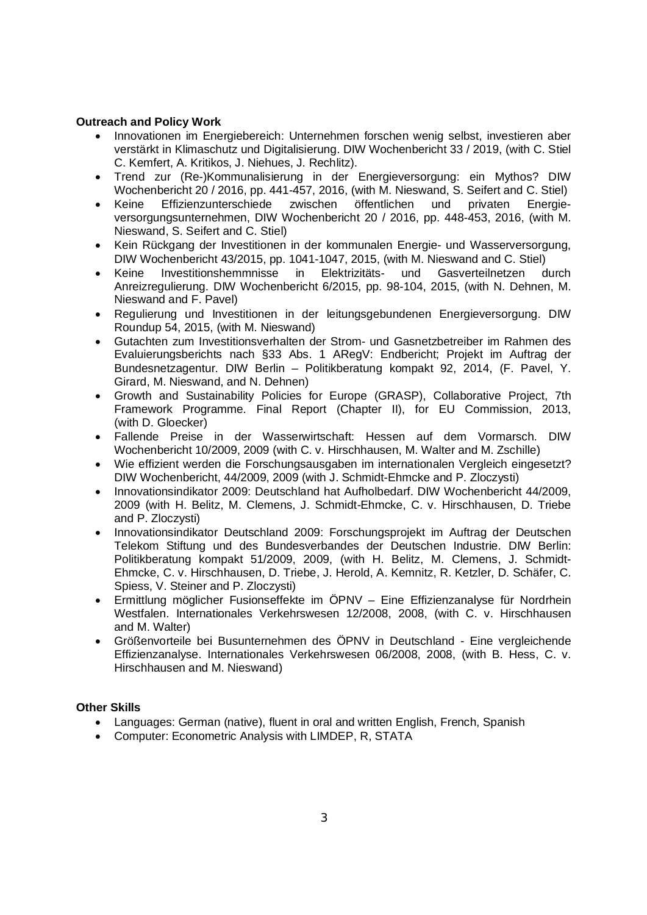### **Outreach and Policy Work**

- · Innovationen im Energiebereich: Unternehmen forschen wenig selbst, investieren aber verstärkt in Klimaschutz und Digitalisierung. DIW Wochenbericht 33 / 2019, (with C. Stiel C. Kemfert, A. Kritikos, J. Niehues, J. Rechlitz).
- · Trend zur (Re-)Kommunalisierung in der Energieversorgung: ein Mythos? DIW Wochenbericht 20 / 2016, pp. 441-457, 2016, (with M. Nieswand, S. Seifert and C. Stiel)
- · Keine Effizienzunterschiede zwischen öffentlichen und privaten Energieversorgungsunternehmen, DIW Wochenbericht 20 / 2016, pp. 448-453, 2016, (with M. Nieswand, S. Seifert and C. Stiel)
- · Kein Rückgang der Investitionen in der kommunalen Energie- und Wasserversorgung, DIW Wochenbericht 43/2015, pp. 1041-1047, 2015, (with M. Nieswand and C. Stiel)
- · Keine Investitionshemmnisse in Elektrizitäts- und Gasverteilnetzen durch Anreizregulierung. DIW Wochenbericht 6/2015, pp. 98-104, 2015, (with N. Dehnen, M. Nieswand and F. Pavel)
- · Regulierung und Investitionen in der leitungsgebundenen Energieversorgung. DIW Roundup 54, 2015, (with M. Nieswand)
- · Gutachten zum Investitionsverhalten der Strom- und Gasnetzbetreiber im Rahmen des Evaluierungsberichts nach §33 Abs. 1 ARegV: Endbericht; Projekt im Auftrag der Bundesnetzagentur. DIW Berlin – Politikberatung kompakt 92, 2014, (F. Pavel, Y. Girard, M. Nieswand, and N. Dehnen)
- · Growth and Sustainability Policies for Europe (GRASP), Collaborative Project, 7th Framework Programme. Final Report (Chapter II), for EU Commission, 2013, (with D. Gloecker)
- · Fallende Preise in der Wasserwirtschaft: Hessen auf dem Vormarsch. DIW Wochenbericht 10/2009, 2009 (with C. v. Hirschhausen, M. Walter and M. Zschille)
- · Wie effizient werden die Forschungsausgaben im internationalen Vergleich eingesetzt? DIW Wochenbericht, 44/2009, 2009 (with J. Schmidt-Ehmcke and P. Zloczysti)
- · Innovationsindikator 2009: Deutschland hat Aufholbedarf. DIW Wochenbericht 44/2009, 2009 (with H. Belitz, M. Clemens, J. Schmidt-Ehmcke, C. v. Hirschhausen, D. Triebe and P. Zloczysti)
- · Innovationsindikator Deutschland 2009: Forschungsprojekt im Auftrag der Deutschen Telekom Stiftung und des Bundesverbandes der Deutschen Industrie. DIW Berlin: Politikberatung kompakt 51/2009, 2009, (with H. Belitz, M. Clemens, J. Schmidt-Ehmcke, C. v. Hirschhausen, D. Triebe, J. Herold, A. Kemnitz, R. Ketzler, D. Schäfer, C. Spiess, V. Steiner and P. Zloczysti)
- · Ermittlung möglicher Fusionseffekte im ÖPNV Eine Effizienzanalyse für Nordrhein Westfalen. Internationales Verkehrswesen 12/2008, 2008, (with C. v. Hirschhausen and M. Walter)
- · Größenvorteile bei Busunternehmen des ÖPNV in Deutschland Eine vergleichende Effizienzanalyse. Internationales Verkehrswesen 06/2008, 2008, (with B. Hess, C. v. Hirschhausen and M. Nieswand)

# **Other Skills**

- · Languages: German (native), fluent in oral and written English, French, Spanish
- · Computer: Econometric Analysis with LIMDEP, R, STATA